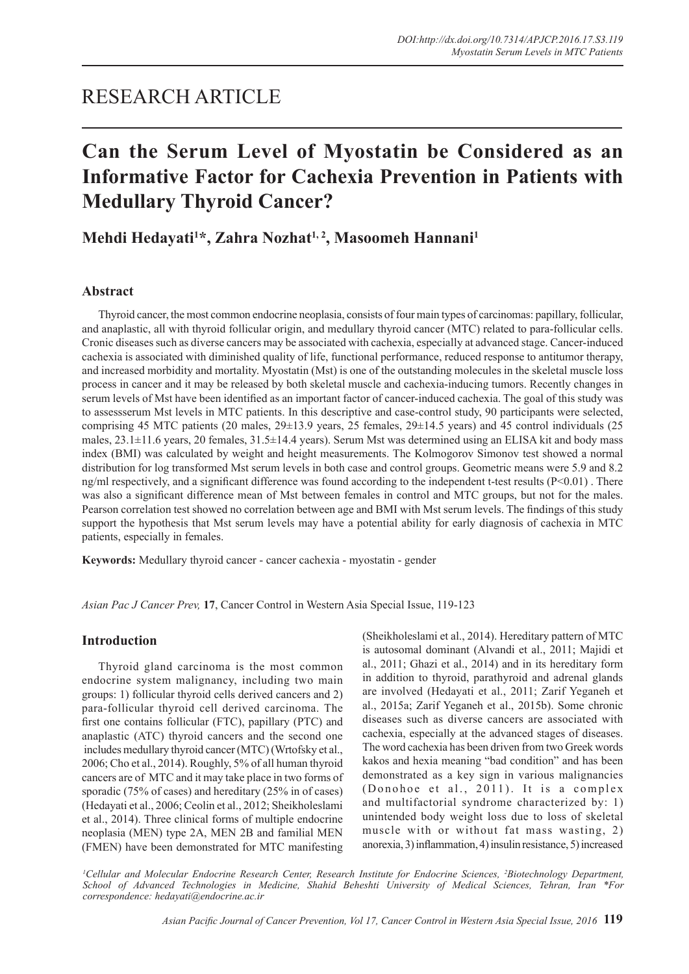## RESEARCH ARTICLE

# **Can the Serum Level of Myostatin be Considered as an Informative Factor for Cachexia Prevention in Patients with Medullary Thyroid Cancer?**

**Mehdi Hedayati1 \*, Zahra Nozhat1, 2, Masoomeh Hannani1**

## **Abstract**

Thyroid cancer, the most common endocrine neoplasia, consists of four main types of carcinomas: papillary, follicular, and anaplastic, all with thyroid follicular origin, and medullary thyroid cancer (MTC) related to para-follicular cells. Cronic diseases such as diverse cancers may be associated with cachexia, especially at advanced stage. Cancer-induced cachexia is associated with diminished quality of life, functional performance, reduced response to antitumor therapy, and increased morbidity and mortality. Myostatin (Mst) is one of the outstanding molecules in the skeletal muscle loss process in cancer and it may be released by both skeletal muscle and cachexia-inducing tumors. Recently changes in serum levels of Mst have been identified as an important factor of cancer-induced cachexia. The goal of this study was to assessserum Mst levels in MTC patients. In this descriptive and case-control study, 90 participants were selected, comprising 45 MTC patients (20 males, 29±13.9 years, 25 females, 29±14.5 years) and 45 control individuals (25 males, 23.1±11.6 years, 20 females, 31.5±14.4 years). Serum Mst was determined using an ELISA kit and body mass index (BMI) was calculated by weight and height measurements. The Kolmogorov Simonov test showed a normal distribution for log transformed Mst serum levels in both case and control groups. Geometric means were 5.9 and 8.2 ng/ml respectively, and a significant difference was found according to the independent t-test results  $(P<0.01)$ . There was also a significant difference mean of Mst between females in control and MTC groups, but not for the males. Pearson correlation test showed no correlation between age and BMI with Mst serum levels. The findings of this study support the hypothesis that Mst serum levels may have a potential ability for early diagnosis of cachexia in MTC patients, especially in females.

**Keywords:** Medullary thyroid cancer - cancer cachexia - myostatin - gender

*Asian Pac J Cancer Prev,* **17**, Cancer Control in Western Asia Special Issue, 119-123

## **Introduction**

Thyroid gland carcinoma is the most common endocrine system malignancy, including two main groups: 1) follicular thyroid cells derived cancers and 2) para-follicular thyroid cell derived carcinoma. The first one contains follicular (FTC), papillary (PTC) and anaplastic (ATC) thyroid cancers and the second one includes medullary thyroid cancer (MTC) (Wrtofsky et al., 2006; Cho et al., 2014). Roughly, 5% of all human thyroid cancers are of MTC and it may take place in two forms of sporadic (75% of cases) and hereditary (25% in of cases) (Hedayati et al., 2006; Ceolin et al., 2012; Sheikholeslami et al., 2014). Three clinical forms of multiple endocrine neoplasia (MEN) type 2A, MEN 2B and familial MEN (FMEN) have been demonstrated for MTC manifesting

(Sheikholeslami et al., 2014). Hereditary pattern of MTC is autosomal dominant (Alvandi et al., 2011; Majidi et al., 2011; Ghazi et al., 2014) and in its hereditary form in addition to thyroid, parathyroid and adrenal glands are involved (Hedayati et al., 2011; Zarif Yeganeh et al., 2015a; Zarif Yeganeh et al., 2015b). Some chronic diseases such as diverse cancers are associated with cachexia, especially at the advanced stages of diseases. The word cachexia has been driven from two Greek words kakos and hexia meaning "bad condition" and has been demonstrated as a key sign in various malignancies (Donohoe et al.,  $2011$ ). It is a complex and multifactorial syndrome characterized by: 1) unintended body weight loss due to loss of skeletal muscle with or without fat mass wasting, 2) anorexia, 3) inflammation, 4) insulin resistance, 5) increased

*1 Cellular and Molecular Endocrine Research Center, Research Institute for Endocrine Sciences, 2 Biotechnology Department, School of Advanced Technologies in Medicine, Shahid Beheshti University of Medical Sciences, Tehran, Iran \*For correspondence: hedayati@endocrine.ac.ir*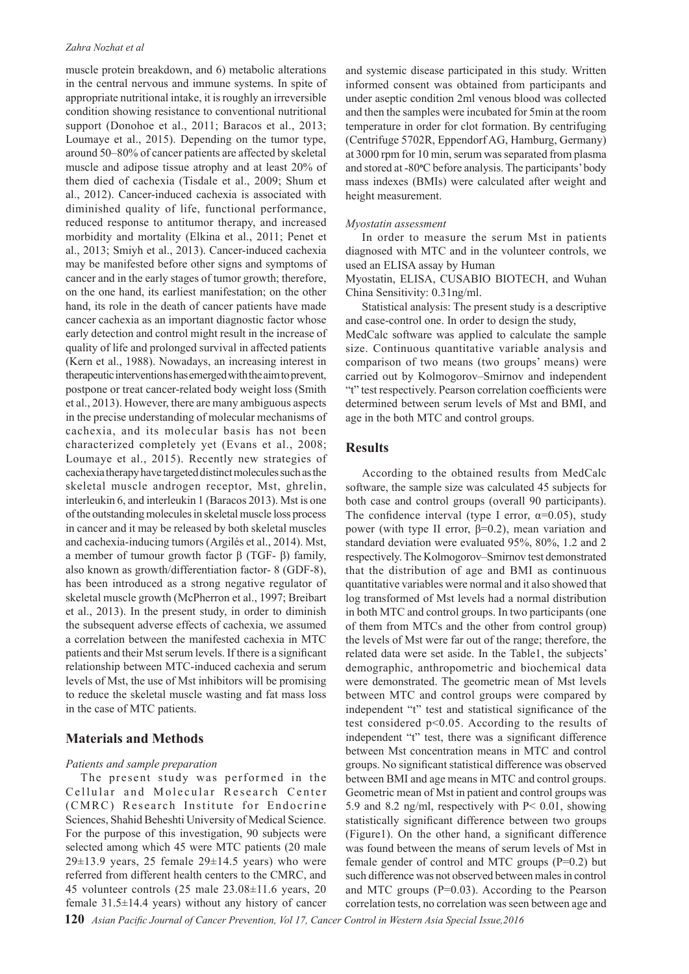muscle protein breakdown, and 6) metabolic alterations in the central nervous and immune systems. In spite of appropriate nutritional intake, it is roughly an irreversible condition showing resistance to conventional nutritional support (Donohoe et al., 2011; Baracos et al., 2013; Loumaye et al., 2015). Depending on the tumor type, around 50–80% of cancer patients are affected by skeletal muscle and adipose tissue atrophy and at least 20% of them died of cachexia (Tisdale et al., 2009; Shum et al., 2012). Cancer-induced cachexia is associated with diminished quality of life, functional performance, reduced response to antitumor therapy, and increased morbidity and mortality (Elkina et al., 2011; Penet et al., 2013; Smiyh et al., 2013). Cancer-induced cachexia may be manifested before other signs and symptoms of cancer and in the early stages of tumor growth; therefore, on the one hand, its earliest manifestation; on the other hand, its role in the death of cancer patients have made cancer cachexia as an important diagnostic factor whose early detection and control might result in the increase of quality of life and prolonged survival in affected patients (Kern et al., 1988). Nowadays, an increasing interest in therapeutic interventions has emerged with the aim to prevent, postpone or treat cancer-related body weight loss (Smith et al., 2013). However, there are many ambiguous aspects in the precise understanding of molecular mechanisms of cachexia, and its molecular basis has not been characterized completely yet (Evans et al., 2008; Loumaye et al., 2015). Recently new strategies of cachexia therapy have targeted distinct molecules such as the skeletal muscle androgen receptor, Mst, ghrelin, interleukin 6, and interleukin 1 (Baracos 2013). Mst is one of the outstanding molecules in skeletal muscle loss process in cancer and it may be released by both skeletal muscles and cachexia-inducing tumors (Argilés et al., 2014). Mst, a member of tumour growth factor β (TGF- β) family, also known as growth/differentiation factor- 8 (GDF-8), has been introduced as a strong negative regulator of skeletal muscle growth (McPherron et al., 1997; Breibart et al., 2013). In the present study, in order to diminish the subsequent adverse effects of cachexia, we assumed a correlation between the manifested cachexia in MTC patients and their Mst serum levels. If there is a significant relationship between MTC-induced cachexia and serum levels of Mst, the use of Mst inhibitors will be promising to reduce the skeletal muscle wasting and fat mass loss in the case of MTC patients.

## **Materials and Methods**

#### *Patients and sample preparation*

The present study was performed in the Cellular and Molecular Research Center (CMRC) Research Institute for Endocrine Sciences, Shahid Beheshti University of Medical Science. For the purpose of this investigation, 90 subjects were selected among which 45 were MTC patients (20 male  $29\pm13.9$  years, 25 female  $29\pm14.5$  years) who were referred from different health centers to the CMRC, and 45 volunteer controls (25 male 23.08±11.6 years, 20 female 31.5±14.4 years) without any history of cancer

and systemic disease participated in this study. Written informed consent was obtained from participants and under aseptic condition 2ml venous blood was collected and then the samples were incubated for 5min at the room temperature in order for clot formation. By centrifuging (Centrifuge 5702R, Eppendorf AG, Hamburg, Germany) at 3000 rpm for 10 min, serum was separated from plasma and stored at -80°C before analysis. The participants' body mass indexes (BMIs) were calculated after weight and height measurement.

#### *Myostatin assessment*

In order to measure the serum Mst in patients diagnosed with MTC and in the volunteer controls, we used an ELISA assay by Human

Myostatin, ELISA, CUSABIO BIOTECH, and Wuhan China Sensitivity: 0.31ng/ml.

Statistical analysis: The present study is a descriptive and case-control one. In order to design the study,

MedCalc software was applied to calculate the sample size. Continuous quantitative variable analysis and comparison of two means (two groups' means) were carried out by Kolmogorov–Smirnov and independent "t" test respectively. Pearson correlation coefficients were determined between serum levels of Mst and BMI, and age in the both MTC and control groups.

#### **Results**

According to the obtained results from MedCalc software, the sample size was calculated 45 subjects for both case and control groups (overall 90 participants). The confidence interval (type I error,  $\alpha=0.05$ ), study power (with type II error, β=0.2), mean variation and standard deviation were evaluated 95%, 80%, 1.2 and 2 respectively. The Kolmogorov–Smirnov test demonstrated that the distribution of age and BMI as continuous quantitative variables were normal and it also showed that log transformed of Mst levels had a normal distribution in both MTC and control groups. In two participants (one of them from MTCs and the other from control group) the levels of Mst were far out of the range; therefore, the related data were set aside. In the Table1, the subjects' demographic, anthropometric and biochemical data were demonstrated. The geometric mean of Mst levels between MTC and control groups were compared by independent "t" test and statistical significance of the test considered p<0.05. According to the results of independent "t" test, there was a significant difference between Mst concentration means in MTC and control groups. No significant statistical difference was observed between BMI and age means in MTC and control groups. Geometric mean of Mst in patient and control groups was 5.9 and 8.2 ng/ml, respectively with P< 0.01, showing statistically significant difference between two groups (Figure1). On the other hand, a significant difference was found between the means of serum levels of Mst in female gender of control and MTC groups  $(P=0.2)$  but such difference was not observed between males in control and MTC groups (P=0.03). According to the Pearson correlation tests, no correlation was seen between age and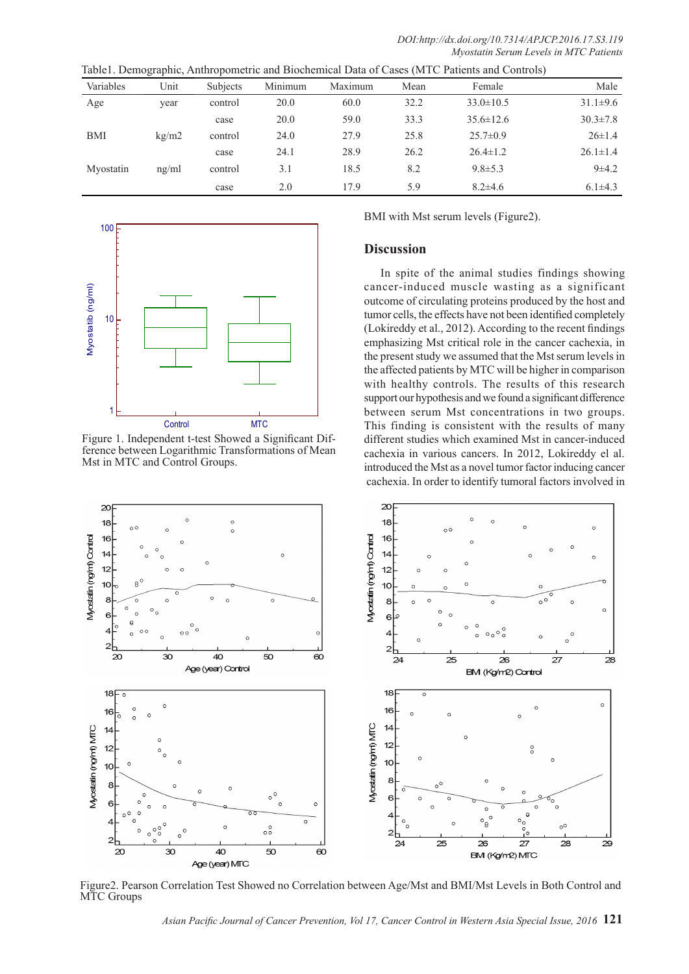|  | Table1. Demographic, Anthropometric and Biochemical Data of Cases (MTC Patients and Controls) |  |  |
|--|-----------------------------------------------------------------------------------------------|--|--|
|  |                                                                                               |  |  |

| Variables  | Unit  | <b>Subjects</b> | Minimum | Maximum | Mean | Female          | Male           |
|------------|-------|-----------------|---------|---------|------|-----------------|----------------|
| Age        | year  | control         | 20.0    | 60.0    | 32.2 | $33.0 \pm 10.5$ | $31.1\pm9.6$   |
|            |       | case            | 20.0    | 59.0    | 33.3 | $35.6 \pm 12.6$ | $30.3 \pm 7.8$ |
| <b>BMI</b> | kg/m2 | control         | 24.0    | 27.9    | 25.8 | $25.7 \pm 0.9$  | $26 \pm 1.4$   |
|            |       | case            | 24.1    | 28.9    | 26.2 | $26.4 \pm 1.2$  | $26.1 \pm 1.4$ |
| Myostatin  | ng/ml | control         | 3.1     | 18.5    | 8.2  | $9.8 \pm 5.3$   | $9+4.2$        |
|            |       | case            | 2.0     | 17.9    | 5.9  | $8.2\pm4.6$     | $6.1 \pm 4.3$  |



Figure 1. Independent t-test Showed a Significant Difference between Logarithmic Transformations of Mean Mst in MTC and Control Groups.

BMI with Mst serum levels (Figure2).

## **Discussion**

In spite of the animal studies findings showing cancer-induced muscle wasting as a significant outcome of circulating proteins produced by the host and tumor cells, the effects have not been identified completely (Lokireddy et al., 2012). According to the recent findings emphasizing Mst critical role in the cancer cachexia, in the present study we assumed that the Mst serum levels in the affected patients by MTC will be higher in comparison with healthy controls. The results of this research support our hypothesis and we found a significant difference between serum Mst concentrations in two groups. This finding is consistent with the results of many different studies which examined Mst in cancer-induced cachexia in various cancers. In 2012, Lokireddy el al. introduced the Mst as a novel tumor factor inducing cancer cachexia. In order to identify tumoral factors involved in



Figure2. Pearson Correlation Test Showed no Correlation between Age/Mst and BMI/Mst Levels in Both Control and MTC Groups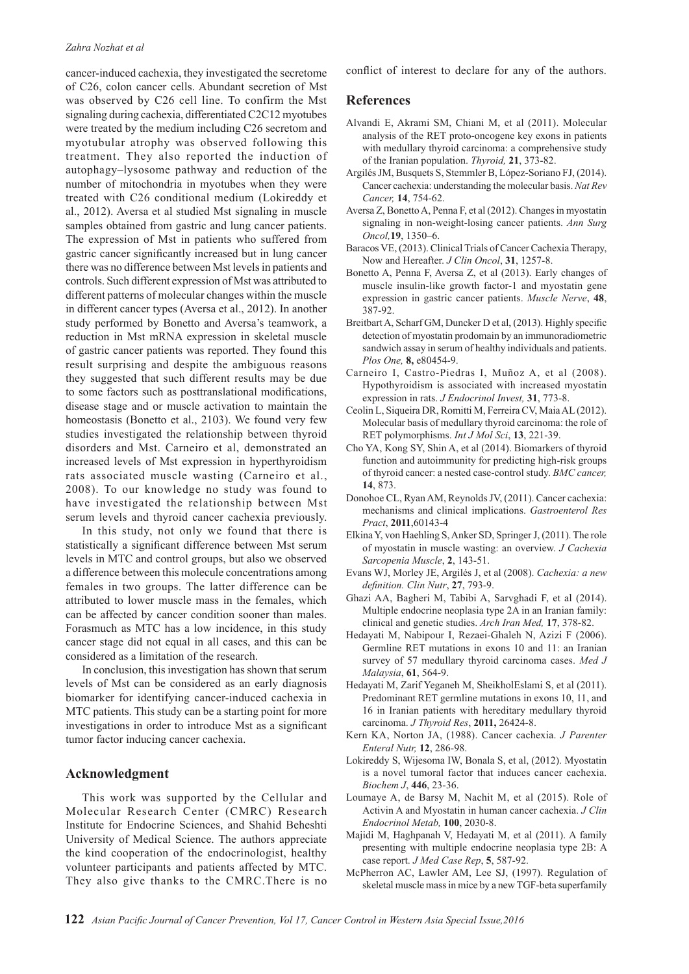#### *Zahra Nozhat et al*

cancer-induced cachexia, they investigated the secretome of C26, colon cancer cells. Abundant secretion of Mst was observed by C26 cell line. To confirm the Mst signaling during cachexia, differentiated C2C12 myotubes were treated by the medium including C26 secretom and myotubular atrophy was observed following this treatment. They also reported the induction of autophagy–lysosome pathway and reduction of the number of mitochondria in myotubes when they were treated with C26 conditional medium (Lokireddy et al., 2012). Aversa et al studied Mst signaling in muscle samples obtained from gastric and lung cancer patients. The expression of Mst in patients who suffered from gastric cancer significantly increased but in lung cancer there was no difference between Mst levels in patients and controls. Such different expression of Mst was attributed to different patterns of molecular changes within the muscle in different cancer types (Aversa et al., 2012). In another study performed by Bonetto and Aversa's teamwork, a reduction in Mst mRNA expression in skeletal muscle of gastric cancer patients was reported. They found this result surprising and despite the ambiguous reasons they suggested that such different results may be due to some factors such as posttranslational modifications, disease stage and or muscle activation to maintain the homeostasis (Bonetto et al., 2103). We found very few studies investigated the relationship between thyroid disorders and Mst. Carneiro et al, demonstrated an increased levels of Mst expression in hyperthyroidism rats associated muscle wasting (Carneiro et al., 2008). To our knowledge no study was found to have investigated the relationship between Mst serum levels and thyroid cancer cachexia previously.

In this study, not only we found that there is statistically a significant difference between Mst serum levels in MTC and control groups, but also we observed a difference between this molecule concentrations among females in two groups. The latter difference can be attributed to lower muscle mass in the females, which can be affected by cancer condition sooner than males. Forasmuch as MTC has a low incidence, in this study cancer stage did not equal in all cases, and this can be considered as a limitation of the research.

In conclusion, this investigation has shown that serum levels of Mst can be considered as an early diagnosis biomarker for identifying cancer-induced cachexia in MTC patients. This study can be a starting point for more investigations in order to introduce Mst as a significant tumor factor inducing cancer cachexia.

## **Acknowledgment**

This work was supported by the Cellular and Molecular Research Center (CMRC) Research Institute for Endocrine Sciences, and Shahid Beheshti University of Medical Science. The authors appreciate the kind cooperation of the endocrinologist, healthy volunteer participants and patients affected by MTC. They also give thanks to the CMRC.There is no conflict of interest to declare for any of the authors.

### **References**

- Alvandi E, Akrami SM, Chiani M, et al (2011). Molecular analysis of the RET proto-oncogene key exons in patients with medullary thyroid carcinoma: a comprehensive study of the Iranian population. *Thyroid,* **21**, 373-82.
- Argilés JM, Busquets S, Stemmler B, López-Soriano FJ, (2014). Cancer cachexia: understanding the molecular basis. *Nat Rev Cancer,* **14**, 754-62.
- Aversa Z, Bonetto A, Penna F, et al (2012). Changes in myostatin signaling in non-weight-losing cancer patients. *Ann Surg Oncol,***19**, 1350–6.
- Baracos VE, (2013). Clinical Trials of Cancer Cachexia Therapy, Now and Hereafter. *J Clin Oncol*, **31**, 1257-8.
- Bonetto A, Penna F, Aversa Z, et al (2013). Early changes of muscle insulin-like growth factor-1 and myostatin gene expression in gastric cancer patients. *Muscle Nerve*, **48**, 387-92.
- Breitbart A, Scharf GM, Duncker D et al, (2013). Highly specific detection of myostatin prodomain by an immunoradiometric sandwich assay in serum of healthy individuals and patients. *Plos One,* **8,** e80454-9.
- Carneiro I, Castro-Piedras I, Muñoz A, et al (2008). Hypothyroidism is associated with increased myostatin expression in rats. *J Endocrinol Invest,* **31**, 773-8.
- Ceolin L, Siqueira DR, Romitti M, Ferreira CV, Maia AL (2012). Molecular basis of medullary thyroid carcinoma: the role of RET polymorphisms. *Int J Mol Sci*, **13**, 221-39.
- Cho YA, Kong SY, Shin A, et al (2014). Biomarkers of thyroid function and autoimmunity for predicting high-risk groups of thyroid cancer: a nested case-control study. *BMC cancer,* **14**, 873.
- Donohoe CL, Ryan AM, Reynolds JV, (2011). Cancer cachexia: mechanisms and clinical implications. *Gastroenterol Res Pract*, **2011**,60143-4
- Elkina Y, von Haehling S, Anker SD, Springer J, (2011). The role of myostatin in muscle wasting: an overview. *J Cachexia Sarcopenia Muscle*, **2**, 143-51.
- Evans WJ, Morley JE, Argilés J, et al (2008). *Cachexia: a new definition. Clin Nutr*, **27**, 793-9.
- Ghazi AA, Bagheri M, Tabibi A, Sarvghadi F, et al (2014). Multiple endocrine neoplasia type 2A in an Iranian family: clinical and genetic studies. *Arch Iran Med,* **17**, 378-82.
- Hedayati M, Nabipour I, Rezaei-Ghaleh N, Azizi F (2006). Germline RET mutations in exons 10 and 11: an Iranian survey of 57 medullary thyroid carcinoma cases. *Med J Malaysia*, **61**, 564-9.
- Hedayati M, Zarif Yeganeh M, SheikholEslami S, et al (2011). Predominant RET germline mutations in exons 10, 11, and 16 in Iranian patients with hereditary medullary thyroid carcinoma. *J Thyroid Res*, **2011,** 26424-8.
- Kern KA, Norton JA, (1988). Cancer cachexia. *J Parenter Enteral Nutr,* **12**, 286-98.
- Lokireddy S, Wijesoma IW, Bonala S, et al, (2012). Myostatin is a novel tumoral factor that induces cancer cachexia. *Biochem J*, **446**, 23-36.
- Loumaye A, de Barsy M, Nachit M, et al (2015). Role of Activin A and Myostatin in human cancer cachexia. *J Clin Endocrinol Metab,* **100**, 2030-8.
- Majidi M, Haghpanah V, Hedayati M, et al (2011). A family presenting with multiple endocrine neoplasia type 2B: A case report. *J Med Case Rep*, **5**, 587-92.
- McPherron AC, Lawler AM, Lee SJ, (1997). Regulation of skeletal muscle mass in mice by a new TGF-beta superfamily